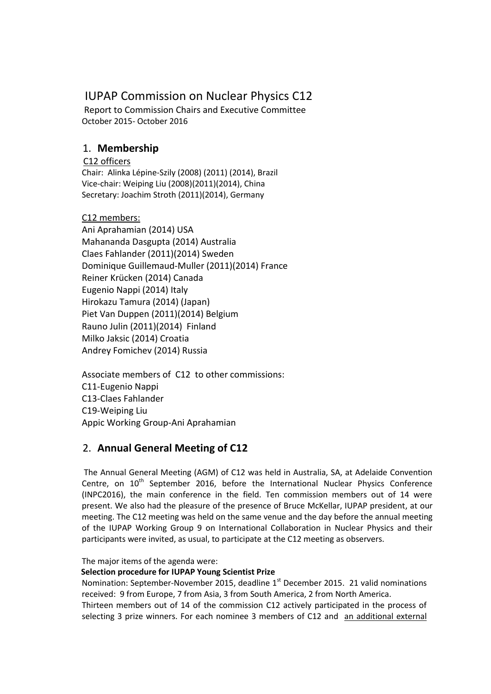# IUPAP Commission on Nuclear Physics C12

Report to Commission Chairs and Executive Committee October 2015- October 2016

## 1. **Membership**

### C12 officers

Chair: Alinka Lépine-Szily (2008) (2011) (2014), Brazil Vice-chair: Weiping Liu (2008)(2011)(2014), China Secretary: Joachim Stroth (2011)(2014), Germany

## C12 members:

Ani Aprahamian (2014) USA Mahananda Dasgupta (2014) Australia Claes Fahlander (2011)(2014) Sweden Dominique Guillemaud-Muller (2011)(2014) France Reiner Krücken (2014) Canada Eugenio Nappi (2014) Italy Hirokazu Tamura (2014) (Japan) Piet Van Duppen (2011)(2014) Belgium Rauno Julin (2011)(2014) Finland Milko Jaksic (2014) Croatia Andrey Fomichev (2014) Russia

Associate members of C12 to other commissions: C11-Eugenio Nappi C13-Claes Fahlander C19-Weiping Liu Appic Working Group-Ani Aprahamian

## 2. **Annual General Meeting of C12**

The Annual General Meeting (AGM) of C12 was held in Australia, SA, at Adelaide Convention Centre, on  $10^{th}$  September 2016, before the International Nuclear Physics Conference (INPC2016), the main conference in the field. Ten commission members out of 14 were present. We also had the pleasure of the presence of Bruce McKellar, IUPAP president, at our meeting. The C12 meeting was held on the same venue and the day before the annual meeting of the IUPAP Working Group 9 on International Collaboration in Nuclear Physics and their participants were invited, as usual, to participate at the C12 meeting as observers.

The major items of the agenda were:

### **Selection procedure for IUPAP Young Scientist Prize**

Nomination: September-November 2015, deadline 1<sup>st</sup> December 2015. 21 valid nominations received: 9 from Europe, 7 from Asia, 3 from South America, 2 from North America.

Thirteen members out of 14 of the commission C12 actively participated in the process of selecting 3 prize winners. For each nominee 3 members of C12 and an additional external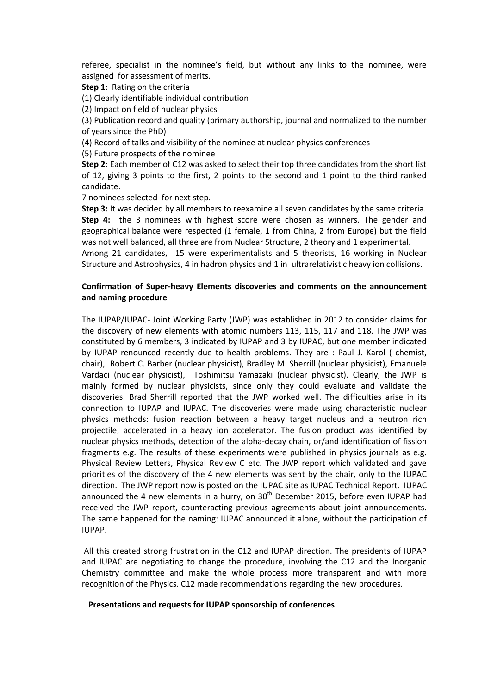referee, specialist in the nominee's field, but without any links to the nominee, were assigned for assessment of merits.

**Step 1**: Rating on the criteria

(1) Clearly identifiable individual contribution

(2) Impact on field of nuclear physics

(3) Publication record and quality (primary authorship, journal and normalized to the number of years since the PhD)

(4) Record of talks and visibility of the nominee at nuclear physics conferences

(5) Future prospects of the nominee

**Step 2**: Each member of C12 was asked to select their top three candidates from the short list of 12, giving 3 points to the first, 2 points to the second and 1 point to the third ranked candidate.

7 nominees selected for next step.

**Step 3:** It was decided by all members to reexamine all seven candidates by the same criteria. **Step 4:** the 3 nominees with highest score were chosen as winners. The gender and geographical balance were respected (1 female, 1 from China, 2 from Europe) but the field was not well balanced, all three are from Nuclear Structure, 2 theory and 1 experimental. Among 21 candidates, 15 were experimentalists and 5 theorists, 16 working in Nuclear Structure and Astrophysics, 4 in hadron physics and 1 in ultrarelativistic heavy ion collisions.

#### **Confirmation of Super-heavy Elements discoveries and comments on the announcement and naming procedure**

The IUPAP/IUPAC- Joint Working Party (JWP) was established in 2012 to consider claims for the discovery of new elements with atomic numbers 113, 115, 117 and 118. The JWP was constituted by 6 members, 3 indicated by IUPAP and 3 by IUPAC, but one member indicated by IUPAP renounced recently due to health problems. They are : [Paul J. Karol](mailto:pk03@andrew.cmu.edu) ( chemist, chair), Robert C. Barber (nuclear physicist), Bradley M. Sherrill (nuclear physicist), Emanuele Vardaci (nuclear physicist), Toshimitsu Yamazaki (nuclear physicist). Clearly, the JWP is mainly formed by nuclear physicists, since only they could evaluate and validate the discoveries. Brad Sherrill reported that the JWP worked well. The difficulties arise in its connection to IUPAP and IUPAC. The discoveries were made using characteristic nuclear physics methods: fusion reaction between a heavy target nucleus and a neutron rich projectile, accelerated in a heavy ion accelerator. The fusion product was identified by nuclear physics methods, detection of the alpha-decay chain, or/and identification of fission fragments e.g. The results of these experiments were published in physics journals as e.g. Physical Review Letters, Physical Review C etc. The JWP report which validated and gave priorities of the discovery of the 4 new elements was sent by the chair, only to the IUPAC direction. The JWP report now is posted on the IUPAC site as IUPAC Technical Report. IUPAC announced the 4 new elements in a hurry, on  $30<sup>th</sup>$  December 2015, before even IUPAP had received the JWP report, counteracting previous agreements about joint announcements. The same happened for the naming: IUPAC announced it alone, without the participation of IUPAP.

All this created strong frustration in the C12 and IUPAP direction. The presidents of IUPAP and IUPAC are negotiating to change the procedure, involving the C12 and the Inorganic Chemistry committee and make the whole process more transparent and with more recognition of the Physics. C12 made recommendations regarding the new procedures.

#### **Presentations and requests for IUPAP sponsorship of conferences**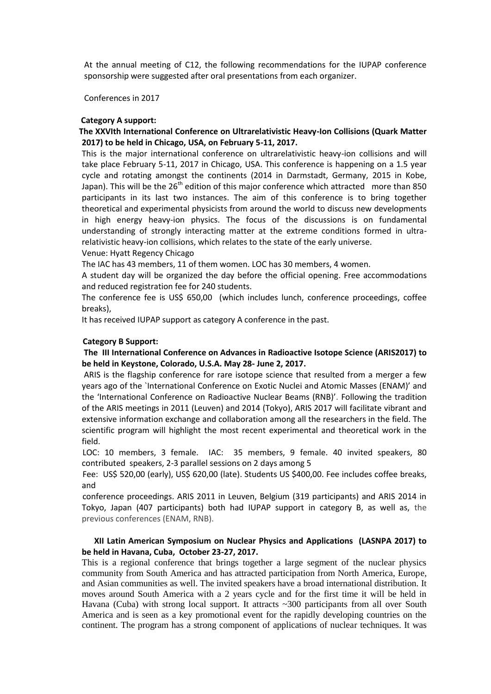At the annual meeting of C12, the following recommendations for the IUPAP conference sponsorship were suggested after oral presentations from each organizer.

Conferences in 2017

#### **Category A support:**

#### **The XXVIth International Conference on Ultrarelativistic Heavy-Ion Collisions (Quark Matter 2017) to be held in Chicago, USA, on February 5-11, 2017.**

This is the major international conference on ultrarelativistic heavy-ion collisions and will take place February 5-11, 2017 in Chicago, USA. This conference is happening on a 1.5 year cycle and rotating amongst the continents (2014 in Darmstadt, Germany, 2015 in Kobe, Japan). This will be the 26<sup>th</sup> edition of this major conference which attracted more than 850 participants in its last two instances. The aim of this conference is to bring together theoretical and experimental physicists from around the world to discuss new developments in high energy heavy-ion physics. The focus of the discussions is on fundamental understanding of strongly interacting matter at the extreme conditions formed in ultrarelativistic heavy-ion collisions, which relates to the state of the early universe.

Venue: Hyatt Regency Chicago

The IAC has 43 members, 11 of them women. LOC has 30 members, 4 women.

A student day will be organized the day before the official opening. Free accommodations and reduced registration fee for 240 students.

The conference fee is US\$ 650,00 (which includes lunch, conference proceedings, coffee breaks),

It has received IUPAP support as category A conference in the past.

#### **Category B Support:**

#### **The III International Conference on Advances in Radioactive Isotope Science (ARIS2017) to be held in Keystone, Colorado, U.S.A. May 28- June 2, 2017.**

ARIS is the flagship conference for rare isotope science that resulted from a merger a few years ago of the `International Conference on Exotic Nuclei and Atomic Masses (ENAM)' and the 'International Conference on Radioactive Nuclear Beams (RNB)'. Following the tradition of the ARIS meetings in 2011 (Leuven) and 2014 (Tokyo), ARIS 2017 will facilitate vibrant and extensive information exchange and collaboration among all the researchers in the field. The scientific program will highlight the most recent experimental and theoretical work in the field.

 LOC: 10 members, 3 female. IAC: 35 members, 9 female. 40 invited speakers, 80 contributed speakers, 2-3 parallel sessions on 2 days among 5

 Fee: US\$ 520,00 (early), US\$ 620,00 (late). Students US \$400,00. Fee includes coffee breaks, and

 conference proceedings. ARIS 2011 in Leuven, Belgium (319 participants) and ARIS 2014 in Tokyo, Japan (407 participants) both had IUPAP support in category B, as well as, the previous conferences (ENAM, RNB).

#### **XII Latin American Symposium on Nuclear Physics and Applications (LASNPA 2017) to be held in Havana, Cuba, October 23-27, 2017.**

This is a regional conference that brings together a large segment of the nuclear physics community from South America and has attracted participation from North America, Europe, and Asian communities as well. The invited speakers have a broad international distribution. It moves around South America with a 2 years cycle and for the first time it will be held in Havana (Cuba) with strong local support. It attracts ~300 participants from all over South America and is seen as a key promotional event for the rapidly developing countries on the continent. The program has a strong component of applications of nuclear techniques. It was